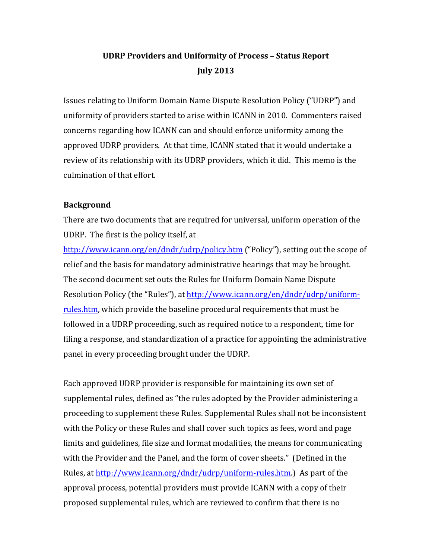# **UDRP Providers and Uniformity of Process – Status Report July 2013**

Issues relating to Uniform Domain Name Dispute Resolution Policy ("UDRP") and uniformity of providers started to arise within ICANN in 2010. Commenters raised concerns regarding how ICANN can and should enforce uniformity among the approved UDRP providers. At that time, ICANN stated that it would undertake a review of its relationship with its UDRP providers, which it did. This memo is the culmination of that effort.

## **Background**

There are two documents that are required for universal, uniform operation of the UDRP. The first is the policy itself, at

http://www.icann.org/en/dndr/udrp/policy.htm ("Policy"), setting out the scope of relief and the basis for mandatory administrative hearings that may be brought. The second document set outs the Rules for Uniform Domain Name Dispute Resolution Policy (the "Rules"), at http://www.icann.org/en/dndr/udrp/uniformrules.htm, which provide the baseline procedural requirements that must be followed in a UDRP proceeding, such as required notice to a respondent, time for filing a response, and standardization of a practice for appointing the administrative panel in every proceeding brought under the UDRP.

Each approved UDRP provider is responsible for maintaining its own set of supplemental rules, defined as "the rules adopted by the Provider administering a proceeding to supplement these Rules. Supplemental Rules shall not be inconsistent with the Policy or these Rules and shall cover such topics as fees, word and page limits and guidelines, file size and format modalities, the means for communicating with the Provider and the Panel, and the form of cover sheets." (Defined in the Rules, at http://www.icann.org/dndr/udrp/uniform-rules.htm.) As part of the approval process, potential providers must provide ICANN with a copy of their proposed supplemental rules, which are reviewed to confirm that there is no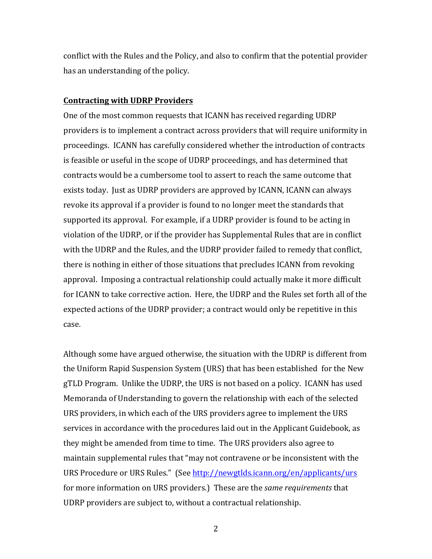conflict with the Rules and the Policy, and also to confirm that the potential provider has an understanding of the policy.

#### **Contracting with UDRP Providers**

One of the most common requests that ICANN has received regarding UDRP providers is to implement a contract across providers that will require uniformity in proceedings. ICANN has carefully considered whether the introduction of contracts is feasible or useful in the scope of UDRP proceedings, and has determined that contracts would be a cumbersome tool to assert to reach the same outcome that exists today. Just as UDRP providers are approved by ICANN, ICANN can always revoke its approval if a provider is found to no longer meet the standards that supported its approval. For example, if a UDRP provider is found to be acting in violation of the UDRP, or if the provider has Supplemental Rules that are in conflict with the UDRP and the Rules, and the UDRP provider failed to remedy that conflict, there is nothing in either of those situations that precludes ICANN from revoking approval. Imposing a contractual relationship could actually make it more difficult for ICANN to take corrective action. Here, the UDRP and the Rules set forth all of the expected actions of the UDRP provider; a contract would only be repetitive in this case.

Although some have argued otherwise, the situation with the UDRP is different from the Uniform Rapid Suspension System (URS) that has been established for the New gTLD Program. Unlike the UDRP, the URS is not based on a policy. ICANN has used Memoranda of Understanding to govern the relationship with each of the selected URS providers, in which each of the URS providers agree to implement the URS services in accordance with the procedures laid out in the Applicant Guidebook, as they might be amended from time to time. The URS providers also agree to maintain supplemental rules that "may not contravene or be inconsistent with the URS Procedure or URS Rules." (See http://newgtlds.icann.org/en/applicants/urs for more information on URS providers.) These are the *same requirements* that UDRP providers are subject to, without a contractual relationship.

2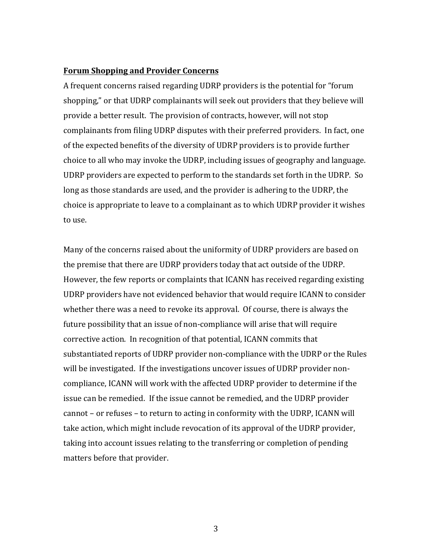#### **Forum Shopping and Provider Concerns**

A frequent concerns raised regarding UDRP providers is the potential for "forum shopping," or that UDRP complainants will seek out providers that they believe will provide a better result. The provision of contracts, however, will not stop complainants from filing UDRP disputes with their preferred providers. In fact, one of the expected benefits of the diversity of UDRP providers is to provide further choice to all who may invoke the UDRP, including issues of geography and language. UDRP providers are expected to perform to the standards set forth in the UDRP. So long as those standards are used, and the provider is adhering to the UDRP, the choice is appropriate to leave to a complainant as to which UDRP provider it wishes to use.

Many of the concerns raised about the uniformity of UDRP providers are based on the premise that there are UDRP providers today that act outside of the UDRP. However, the few reports or complaints that ICANN has received regarding existing UDRP providers have not evidenced behavior that would require ICANN to consider whether there was a need to revoke its approval. Of course, there is always the future possibility that an issue of non-compliance will arise that will require corrective action. In recognition of that potential, ICANN commits that substantiated reports of UDRP provider non-compliance with the UDRP or the Rules will be investigated. If the investigations uncover issues of UDRP provider noncompliance, ICANN will work with the affected UDRP provider to determine if the issue can be remedied. If the issue cannot be remedied, and the UDRP provider cannot – or refuses – to return to acting in conformity with the UDRP, ICANN will take action, which might include revocation of its approval of the UDRP provider, taking into account issues relating to the transferring or completion of pending matters before that provider.

3